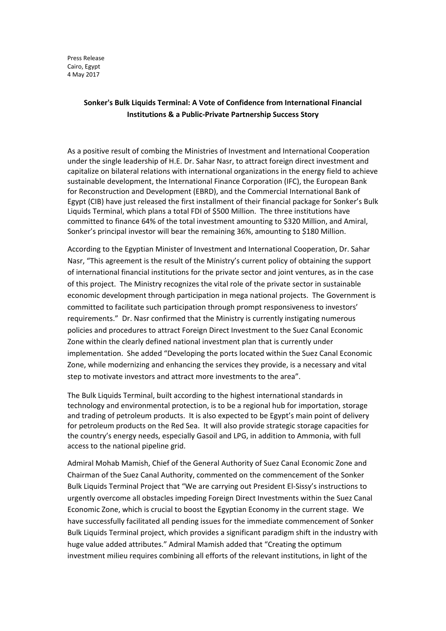Press Release Cairo, Egypt 4 May 2017

## **Sonker's Bulk Liquids Terminal: A Vote of Confidence from International Financial Institutions & a Public-Private Partnership Success Story**

As a positive result of combing the Ministries of Investment and International Cooperation under the single leadership of H.E. Dr. Sahar Nasr, to attract foreign direct investment and capitalize on bilateral relations with international organizations in the energy field to achieve sustainable development, the International Finance Corporation (IFC), the European Bank for Reconstruction and Development (EBRD), and the Commercial International Bank of Egypt (CIB) have just released the first installment of their financial package for Sonker's Bulk Liquids Terminal, which plans a total FDI of \$500 Million. The three institutions have committed to finance 64% of the total investment amounting to \$320 Million, and Amiral, Sonker's principal investor will bear the remaining 36%, amounting to \$180 Million.

According to the Egyptian Minister of Investment and International Cooperation, Dr. Sahar Nasr, "This agreement is the result of the Ministry's current policy of obtaining the support of international financial institutions for the private sector and joint ventures, as in the case of this project. The Ministry recognizes the vital role of the private sector in sustainable economic development through participation in mega national projects. The Government is committed to facilitate such participation through prompt responsiveness to investors' requirements." Dr. Nasr confirmed that the Ministry is currently instigating numerous policies and procedures to attract Foreign Direct Investment to the Suez Canal Economic Zone within the clearly defined national investment plan that is currently under implementation. She added "Developing the ports located within the Suez Canal Economic Zone, while modernizing and enhancing the services they provide, is a necessary and vital step to motivate investors and attract more investments to the area".

The Bulk Liquids Terminal, built according to the highest international standards in technology and environmental protection, is to be a regional hub for importation, storage and trading of petroleum products. It is also expected to be Egypt's main point of delivery for petroleum products on the Red Sea. It will also provide strategic storage capacities for the country's energy needs, especially Gasoil and LPG, in addition to Ammonia, with full access to the national pipeline grid.

Admiral Mohab Mamish, Chief of the General Authority of Suez Canal Economic Zone and Chairman of the Suez Canal Authority, commented on the commencement of the Sonker Bulk Liquids Terminal Project that "We are carrying out President El-Sissy's instructions to urgently overcome all obstacles impeding Foreign Direct Investments within the Suez Canal Economic Zone, which is crucial to boost the Egyptian Economy in the current stage. We have successfully facilitated all pending issues for the immediate commencement of Sonker Bulk Liquids Terminal project, which provides a significant paradigm shift in the industry with huge value added attributes." Admiral Mamish added that "Creating the optimum investment milieu requires combining all efforts of the relevant institutions, in light of the